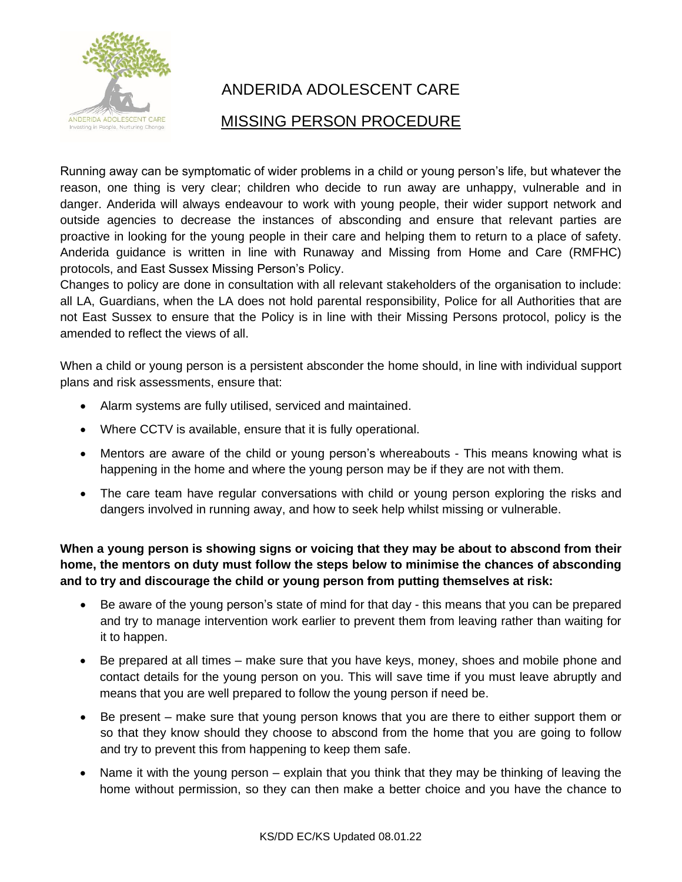

# ANDERIDA ADOLESCENT CARE

## MISSING PERSON PROCEDURE

Running away can be symptomatic of wider problems in a child or young person's life, but whatever the reason, one thing is very clear; children who decide to run away are unhappy, vulnerable and in danger. Anderida will always endeavour to work with young people, their wider support network and outside agencies to decrease the instances of absconding and ensure that relevant parties are proactive in looking for the young people in their care and helping them to return to a place of safety. Anderida guidance is written in line with Runaway and Missing from Home and Care (RMFHC) protocols, and East Sussex Missing Person's Policy.

Changes to policy are done in consultation with all relevant stakeholders of the organisation to include: all LA, Guardians, when the LA does not hold parental responsibility, Police for all Authorities that are not East Sussex to ensure that the Policy is in line with their Missing Persons protocol, policy is the amended to reflect the views of all.

When a child or young person is a persistent absconder the home should, in line with individual support plans and risk assessments, ensure that:

- Alarm systems are fully utilised, serviced and maintained.
- Where CCTV is available, ensure that it is fully operational.
- Mentors are aware of the child or young person's whereabouts This means knowing what is happening in the home and where the young person may be if they are not with them.
- The care team have regular conversations with child or young person exploring the risks and dangers involved in running away, and how to seek help whilst missing or vulnerable.

**When a young person is showing signs or voicing that they may be about to abscond from their home, the mentors on duty must follow the steps below to minimise the chances of absconding and to try and discourage the child or young person from putting themselves at risk:**

- Be aware of the young person's state of mind for that day this means that you can be prepared and try to manage intervention work earlier to prevent them from leaving rather than waiting for it to happen.
- Be prepared at all times make sure that you have keys, money, shoes and mobile phone and contact details for the young person on you. This will save time if you must leave abruptly and means that you are well prepared to follow the young person if need be.
- Be present make sure that young person knows that you are there to either support them or so that they know should they choose to abscond from the home that you are going to follow and try to prevent this from happening to keep them safe.
- Name it with the young person explain that you think that they may be thinking of leaving the home without permission, so they can then make a better choice and you have the chance to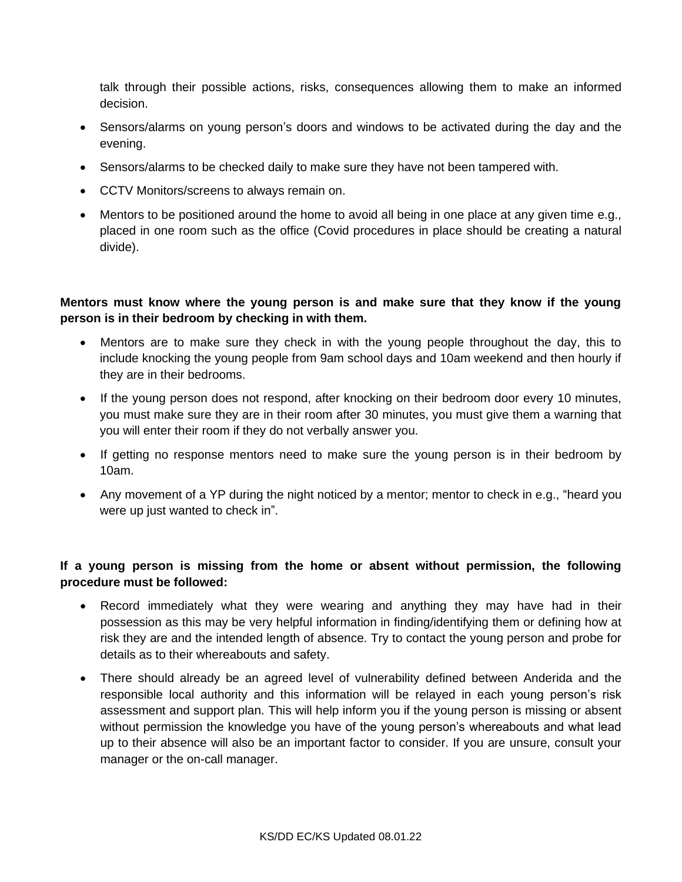talk through their possible actions, risks, consequences allowing them to make an informed decision.

- Sensors/alarms on young person's doors and windows to be activated during the day and the evening.
- Sensors/alarms to be checked daily to make sure they have not been tampered with.
- CCTV Monitors/screens to always remain on.
- Mentors to be positioned around the home to avoid all being in one place at any given time e.g., placed in one room such as the office (Covid procedures in place should be creating a natural divide).

## **Mentors must know where the young person is and make sure that they know if the young person is in their bedroom by checking in with them.**

- Mentors are to make sure they check in with the young people throughout the day, this to include knocking the young people from 9am school days and 10am weekend and then hourly if they are in their bedrooms.
- If the young person does not respond, after knocking on their bedroom door every 10 minutes, you must make sure they are in their room after 30 minutes, you must give them a warning that you will enter their room if they do not verbally answer you.
- If getting no response mentors need to make sure the young person is in their bedroom by 10am.
- Any movement of a YP during the night noticed by a mentor; mentor to check in e.g., "heard you were up just wanted to check in".

## **If a young person is missing from the home or absent without permission, the following procedure must be followed:**

- Record immediately what they were wearing and anything they may have had in their possession as this may be very helpful information in finding/identifying them or defining how at risk they are and the intended length of absence. Try to contact the young person and probe for details as to their whereabouts and safety.
- There should already be an agreed level of vulnerability defined between Anderida and the responsible local authority and this information will be relayed in each young person's risk assessment and support plan. This will help inform you if the young person is missing or absent without permission the knowledge you have of the young person's whereabouts and what lead up to their absence will also be an important factor to consider. If you are unsure, consult your manager or the on-call manager.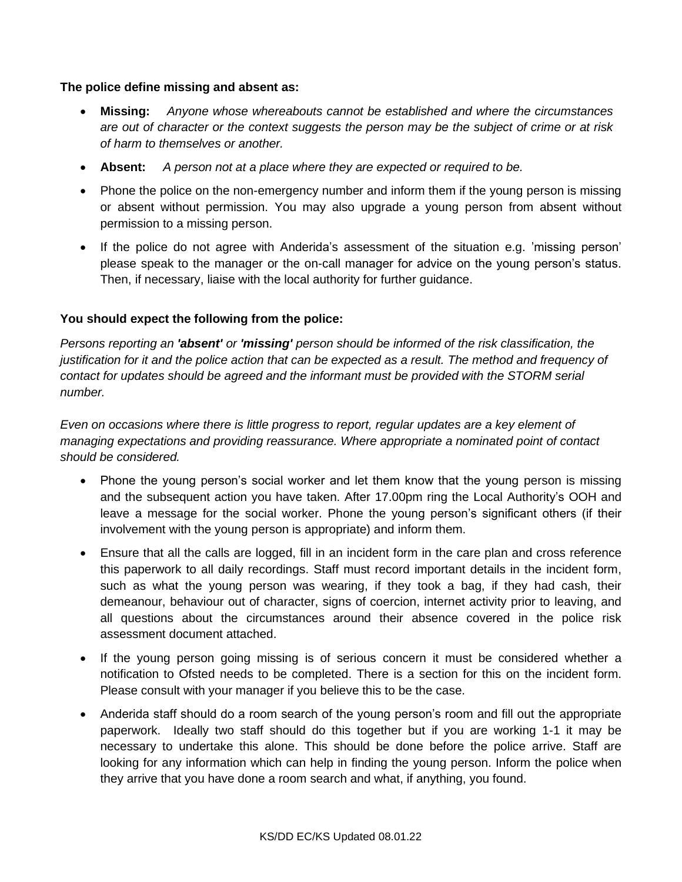#### **The police define missing and absent as:**

- **Missing:** *Anyone whose whereabouts cannot be established and where the circumstances are out of character or the context suggests the person may be the subject of crime or at risk of harm to themselves or another.*
- **Absent:** *A person not at a place where they are expected or required to be.*
- Phone the police on the non-emergency number and inform them if the young person is missing or absent without permission. You may also upgrade a young person from absent without permission to a missing person.
- If the police do not agree with Anderida's assessment of the situation e.g. 'missing person' please speak to the manager or the on-call manager for advice on the young person's status. Then, if necessary, liaise with the local authority for further guidance.

## **You should expect the following from the police:**

*Persons reporting an 'absent' or 'missing' person should be informed of the risk classification, the justification for it and the police action that can be expected as a result. The method and frequency of contact for updates should be agreed and the informant must be provided with the STORM serial number.*

*Even on occasions where there is little progress to report, regular updates are a key element of managing expectations and providing reassurance. Where appropriate a nominated point of contact should be considered.*

- Phone the young person's social worker and let them know that the young person is missing and the subsequent action you have taken. After 17.00pm ring the Local Authority's OOH and leave a message for the social worker. Phone the young person's significant others (if their involvement with the young person is appropriate) and inform them.
- Ensure that all the calls are logged, fill in an incident form in the care plan and cross reference this paperwork to all daily recordings. Staff must record important details in the incident form, such as what the young person was wearing, if they took a bag, if they had cash, their demeanour, behaviour out of character, signs of coercion, internet activity prior to leaving, and all questions about the circumstances around their absence covered in the police risk assessment document attached.
- If the young person going missing is of serious concern it must be considered whether a notification to Ofsted needs to be completed. There is a section for this on the incident form. Please consult with your manager if you believe this to be the case.
- Anderida staff should do a room search of the young person's room and fill out the appropriate paperwork. Ideally two staff should do this together but if you are working 1-1 it may be necessary to undertake this alone. This should be done before the police arrive. Staff are looking for any information which can help in finding the young person. Inform the police when they arrive that you have done a room search and what, if anything, you found.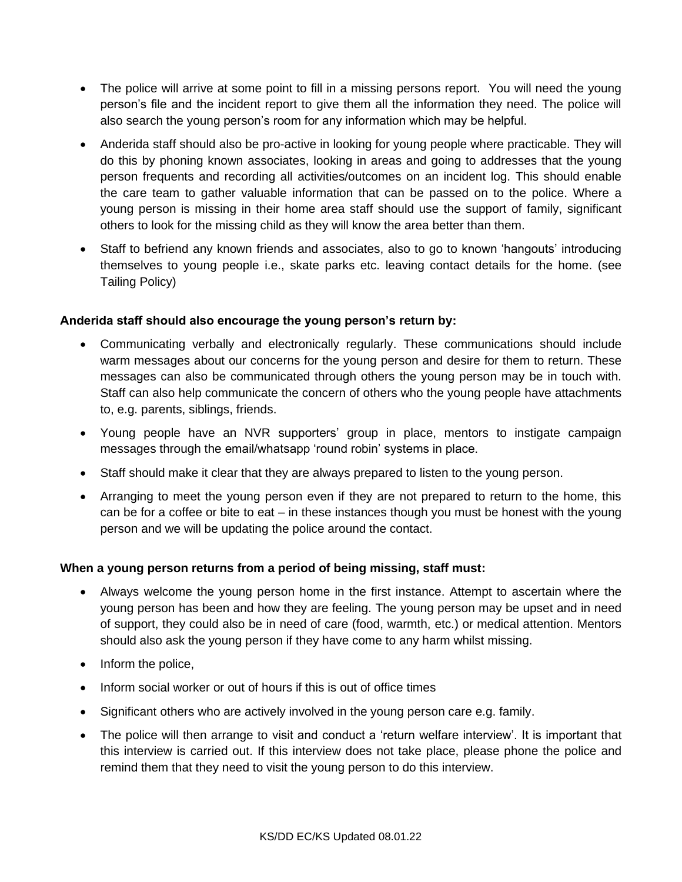- The police will arrive at some point to fill in a missing persons report. You will need the young person's file and the incident report to give them all the information they need. The police will also search the young person's room for any information which may be helpful.
- Anderida staff should also be pro-active in looking for young people where practicable. They will do this by phoning known associates, looking in areas and going to addresses that the young person frequents and recording all activities/outcomes on an incident log. This should enable the care team to gather valuable information that can be passed on to the police. Where a young person is missing in their home area staff should use the support of family, significant others to look for the missing child as they will know the area better than them.
- Staff to befriend any known friends and associates, also to go to known 'hangouts' introducing themselves to young people i.e., skate parks etc. leaving contact details for the home. (see Tailing Policy)

## **Anderida staff should also encourage the young person's return by:**

- Communicating verbally and electronically regularly. These communications should include warm messages about our concerns for the young person and desire for them to return. These messages can also be communicated through others the young person may be in touch with. Staff can also help communicate the concern of others who the young people have attachments to, e.g. parents, siblings, friends.
- Young people have an NVR supporters' group in place, mentors to instigate campaign messages through the email/whatsapp 'round robin' systems in place.
- Staff should make it clear that they are always prepared to listen to the young person.
- Arranging to meet the young person even if they are not prepared to return to the home, this can be for a coffee or bite to eat – in these instances though you must be honest with the young person and we will be updating the police around the contact.

#### **When a young person returns from a period of being missing, staff must:**

- Always welcome the young person home in the first instance. Attempt to ascertain where the young person has been and how they are feeling. The young person may be upset and in need of support, they could also be in need of care (food, warmth, etc.) or medical attention. Mentors should also ask the young person if they have come to any harm whilst missing.
- Inform the police.
- Inform social worker or out of hours if this is out of office times
- Significant others who are actively involved in the young person care e.g. family.
- The police will then arrange to visit and conduct a 'return welfare interview'. It is important that this interview is carried out. If this interview does not take place, please phone the police and remind them that they need to visit the young person to do this interview.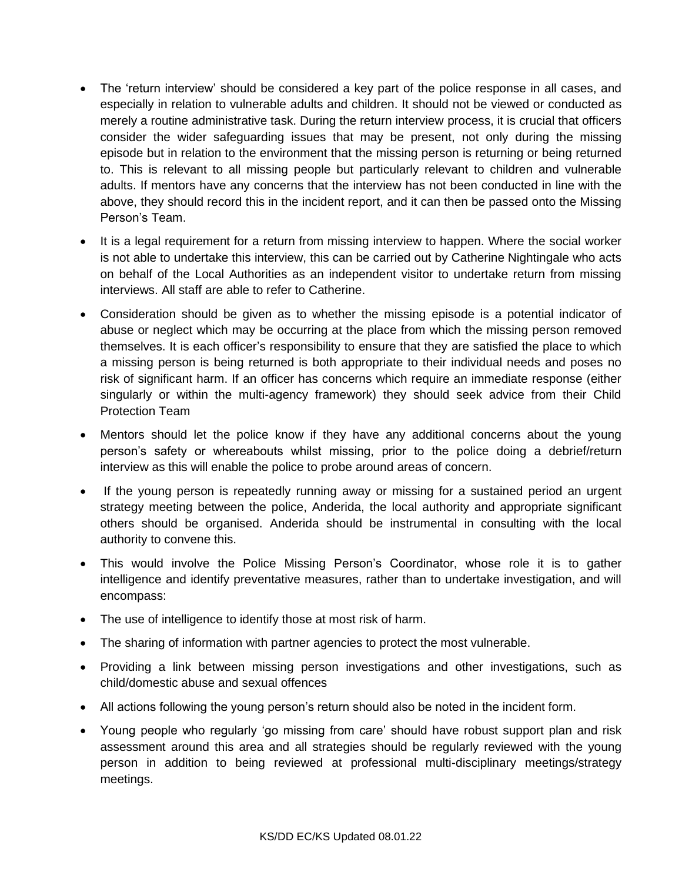- The 'return interview' should be considered a key part of the police response in all cases, and especially in relation to vulnerable adults and children. It should not be viewed or conducted as merely a routine administrative task. During the return interview process, it is crucial that officers consider the wider safeguarding issues that may be present, not only during the missing episode but in relation to the environment that the missing person is returning or being returned to. This is relevant to all missing people but particularly relevant to children and vulnerable adults. If mentors have any concerns that the interview has not been conducted in line with the above, they should record this in the incident report, and it can then be passed onto the Missing Person's Team.
- It is a legal requirement for a return from missing interview to happen. Where the social worker is not able to undertake this interview, this can be carried out by Catherine Nightingale who acts on behalf of the Local Authorities as an independent visitor to undertake return from missing interviews. All staff are able to refer to Catherine.
- Consideration should be given as to whether the missing episode is a potential indicator of abuse or neglect which may be occurring at the place from which the missing person removed themselves. It is each officer's responsibility to ensure that they are satisfied the place to which a missing person is being returned is both appropriate to their individual needs and poses no risk of significant harm. If an officer has concerns which require an immediate response (either singularly or within the multi-agency framework) they should seek advice from their Child Protection Team
- Mentors should let the police know if they have any additional concerns about the young person's safety or whereabouts whilst missing, prior to the police doing a debrief/return interview as this will enable the police to probe around areas of concern.
- If the young person is repeatedly running away or missing for a sustained period an urgent strategy meeting between the police, Anderida, the local authority and appropriate significant others should be organised. Anderida should be instrumental in consulting with the local authority to convene this.
- This would involve the Police Missing Person's Coordinator, whose role it is to gather intelligence and identify preventative measures, rather than to undertake investigation, and will encompass:
- The use of intelligence to identify those at most risk of harm.
- The sharing of information with partner agencies to protect the most vulnerable.
- Providing a link between missing person investigations and other investigations, such as child/domestic abuse and sexual offences
- All actions following the young person's return should also be noted in the incident form.
- Young people who regularly 'go missing from care' should have robust support plan and risk assessment around this area and all strategies should be regularly reviewed with the young person in addition to being reviewed at professional multi-disciplinary meetings/strategy meetings.